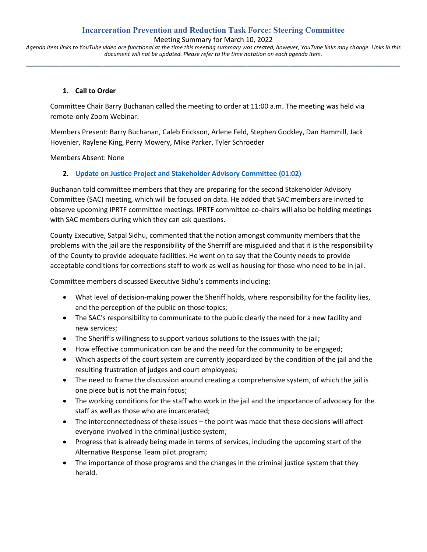## **Incarceration Prevention and Reduction Task Force: Steering Committee**

Meeting Summary for March 10, 2022

*Agenda item links to YouTube video are functional at the time this meeting summary was created, however, YouTube links may change. Links in this document will not be updated. Please refer to the time notation on each agenda item.* **\_\_\_\_\_\_\_\_\_\_\_\_\_\_\_\_\_\_\_\_\_\_\_\_\_\_\_\_\_\_\_\_\_\_\_\_\_\_\_\_\_\_\_\_\_\_\_\_\_\_\_\_\_\_\_\_\_\_\_\_\_\_\_\_\_\_\_\_\_\_\_\_\_\_\_\_\_\_\_\_\_\_\_\_\_\_\_\_\_\_\_\_\_\_\_\_\_\_**

### **1. Call to Order**

Committee Chair Barry Buchanan called the meeting to order at 11:00 a.m. The meeting was held via remote-only Zoom Webinar.

Members Present: Barry Buchanan, Caleb Erickson, Arlene Feld, Stephen Gockley, Dan Hammill, Jack Hovenier, Raylene King, Perry Mowery, Mike Parker, Tyler Schroeder

Members Absent: None

### **2. [Update on Justice Project and Stakeholder Advisory Committee](https://www.youtube.com/watch?v=H-Ypz0cveCE&t=62s) (01:02)**

Buchanan told committee members that they are preparing for the second Stakeholder Advisory Committee (SAC) meeting, which will be focused on data. He added that SAC members are invited to observe upcoming IPRTF committee meetings. IPRTF committee co-chairs will also be holding meetings with SAC members during which they can ask questions.

County Executive, Satpal Sidhu, commented that the notion amongst community members that the problems with the jail are the responsibility of the Sherriff are misguided and that it is the responsibility of the County to provide adequate facilities. He went on to say that the County needs to provide acceptable conditions for corrections staff to work as well as housing for those who need to be in jail.

Committee members discussed Executive Sidhu's comments including:

- What level of decision-making power the Sheriff holds, where responsibility for the facility lies, and the perception of the public on those topics;
- The SAC's responsibility to communicate to the public clearly the need for a new facility and new services;
- The Sheriff's willingness to support various solutions to the issues with the jail;
- How effective communication can be and the need for the community to be engaged;
- Which aspects of the court system are currently jeopardized by the condition of the jail and the resulting frustration of judges and court employees;
- The need to frame the discussion around creating a comprehensive system, of which the jail is one piece but is not the main focus;
- The working conditions for the staff who work in the jail and the importance of advocacy for the staff as well as those who are incarcerated;
- The interconnectedness of these issues the point was made that these decisions will affect everyone involved in the criminal justice system;
- Progress that is already being made in terms of services, including the upcoming start of the Alternative Response Team pilot program;
- The importance of those programs and the changes in the criminal justice system that they herald.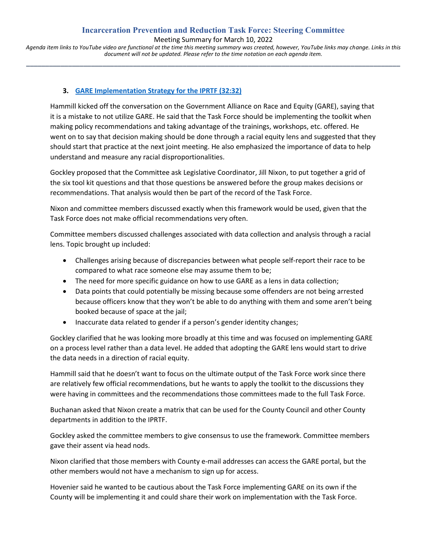Meeting Summary for March 10, 2022

*Agenda item links to YouTube video are functional at the time this meeting summary was created, however, YouTube links may change. Links in this document will not be updated. Please refer to the time notation on each agenda item.* **\_\_\_\_\_\_\_\_\_\_\_\_\_\_\_\_\_\_\_\_\_\_\_\_\_\_\_\_\_\_\_\_\_\_\_\_\_\_\_\_\_\_\_\_\_\_\_\_\_\_\_\_\_\_\_\_\_\_\_\_\_\_\_\_\_\_\_\_\_\_\_\_\_\_\_\_\_\_\_\_\_\_\_\_\_\_\_\_\_\_\_\_\_\_\_\_\_\_**

### **3. [GARE Implementation Strategy for the IPRTF](https://www.youtube.com/watch?v=H-Ypz0cveCE&t=1952s) (32:32)**

Hammill kicked off the conversation on the Government Alliance on Race and Equity (GARE), saying that it is a mistake to not utilize GARE. He said that the Task Force should be implementing the toolkit when making policy recommendations and taking advantage of the trainings, workshops, etc. offered. He went on to say that decision making should be done through a racial equity lens and suggested that they should start that practice at the next joint meeting. He also emphasized the importance of data to help understand and measure any racial disproportionalities.

Gockley proposed that the Committee ask Legislative Coordinator, Jill Nixon, to put together a grid of the six tool kit questions and that those questions be answered before the group makes decisions or recommendations. That analysis would then be part of the record of the Task Force.

Nixon and committee members discussed exactly when this framework would be used, given that the Task Force does not make official recommendations very often.

Committee members discussed challenges associated with data collection and analysis through a racial lens. Topic brought up included:

- Challenges arising because of discrepancies between what people self-report their race to be compared to what race someone else may assume them to be;
- The need for more specific guidance on how to use GARE as a lens in data collection;
- Data points that could potentially be missing because some offenders are not being arrested because officers know that they won't be able to do anything with them and some aren't being booked because of space at the jail;
- Inaccurate data related to gender if a person's gender identity changes;

Gockley clarified that he was looking more broadly at this time and was focused on implementing GARE on a process level rather than a data level. He added that adopting the GARE lens would start to drive the data needs in a direction of racial equity.

Hammill said that he doesn't want to focus on the ultimate output of the Task Force work since there are relatively few official recommendations, but he wants to apply the toolkit to the discussions they were having in committees and the recommendations those committees made to the full Task Force.

Buchanan asked that Nixon create a matrix that can be used for the County Council and other County departments in addition to the IPRTF.

Gockley asked the committee members to give consensus to use the framework. Committee members gave their assent via head nods.

Nixon clarified that those members with County e-mail addresses can access the GARE portal, but the other members would not have a mechanism to sign up for access.

Hovenier said he wanted to be cautious about the Task Force implementing GARE on its own if the County will be implementing it and could share their work on implementation with the Task Force.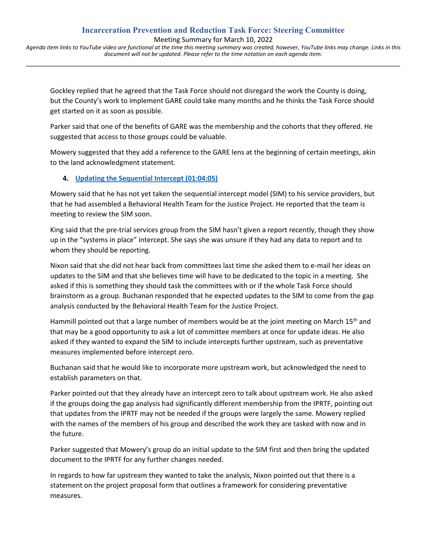**\_\_\_\_\_\_\_\_\_\_\_\_\_\_\_\_\_\_\_\_\_\_\_\_\_\_\_\_\_\_\_\_\_\_\_\_\_\_\_\_\_\_\_\_\_\_\_\_\_\_\_\_\_\_\_\_\_\_\_\_\_\_\_\_\_\_\_\_\_\_\_\_\_\_\_\_\_\_\_\_\_\_\_\_\_\_\_\_\_\_\_\_\_\_\_\_\_\_**

Gockley replied that he agreed that the Task Force should not disregard the work the County is doing, but the County's work to implement GARE could take many months and he thinks the Task Force should get started on it as soon as possible.

Parker said that one of the benefits of GARE was the membership and the cohorts that they offered. He suggested that access to those groups could be valuable.

Mowery suggested that they add a reference to the GARE lens at the beginning of certain meetings, akin to the land acknowledgment statement.

# **4. [Updating the Sequential Intercept](https://www.youtube.com/watch?v=H-Ypz0cveCE&t=3845s) (01:04:05)**

Mowery said that he has not yet taken the sequential intercept model (SIM) to his service providers, but that he had assembled a Behavioral Health Team for the Justice Project. He reported that the team is meeting to review the SIM soon.

King said that the pre-trial services group from the SIM hasn't given a report recently, though they show up in the "systems in place" intercept. She says she was unsure if they had any data to report and to whom they should be reporting.

Nixon said that she did not hear back from committees last time she asked them to e-mail her ideas on updates to the SIM and that she believes time will have to be dedicated to the topic in a meeting. She asked if this is something they should task the committees with or if the whole Task Force should brainstorm as a group. Buchanan responded that he expected updates to the SIM to come from the gap analysis conducted by the Behavioral Health Team for the Justice Project.

Hammill pointed out that a large number of members would be at the joint meeting on March 15<sup>th</sup> and that may be a good opportunity to ask a lot of committee members at once for update ideas. He also asked if they wanted to expand the SIM to include intercepts further upstream, such as preventative measures implemented before intercept zero.

Buchanan said that he would like to incorporate more upstream work, but acknowledged the need to establish parameters on that.

Parker pointed out that they already have an intercept zero to talk about upstream work. He also asked if the groups doing the gap analysis had significantly different membership from the IPRTF, pointing out that updates from the IPRTF may not be needed if the groups were largely the same. Mowery replied with the names of the members of his group and described the work they are tasked with now and in the future.

Parker suggested that Mowery's group do an initial update to the SIM first and then bring the updated document to the IPRTF for any further changes needed.

In regards to how far upstream they wanted to take the analysis, Nixon pointed out that there is a statement on the project proposal form that outlines a framework for considering preventative measures.